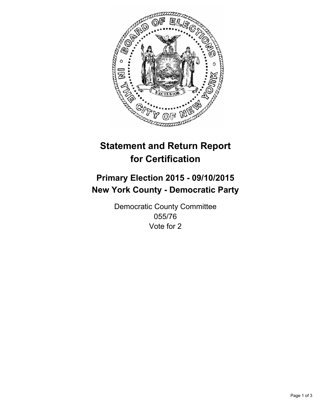

# **Statement and Return Report for Certification**

## **Primary Election 2015 - 09/10/2015 New York County - Democratic Party**

Democratic County Committee 055/76 Vote for 2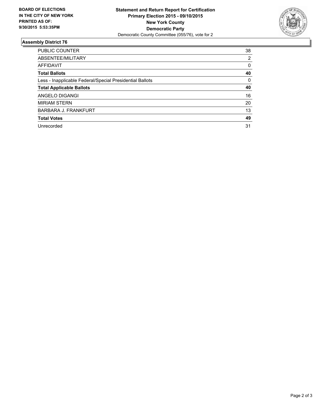

#### **Assembly District 76**

| <b>PUBLIC COUNTER</b>                                    | 38 |
|----------------------------------------------------------|----|
| ABSENTEE/MILITARY                                        | 2  |
| <b>AFFIDAVIT</b>                                         | 0  |
| <b>Total Ballots</b>                                     | 40 |
| Less - Inapplicable Federal/Special Presidential Ballots | 0  |
| <b>Total Applicable Ballots</b>                          | 40 |
| ANGELO DIGANGI                                           | 16 |
| <b>MIRIAM STERN</b>                                      | 20 |
| BARBARA J. FRANKFURT                                     | 13 |
| <b>Total Votes</b>                                       | 49 |
| Unrecorded                                               | 31 |